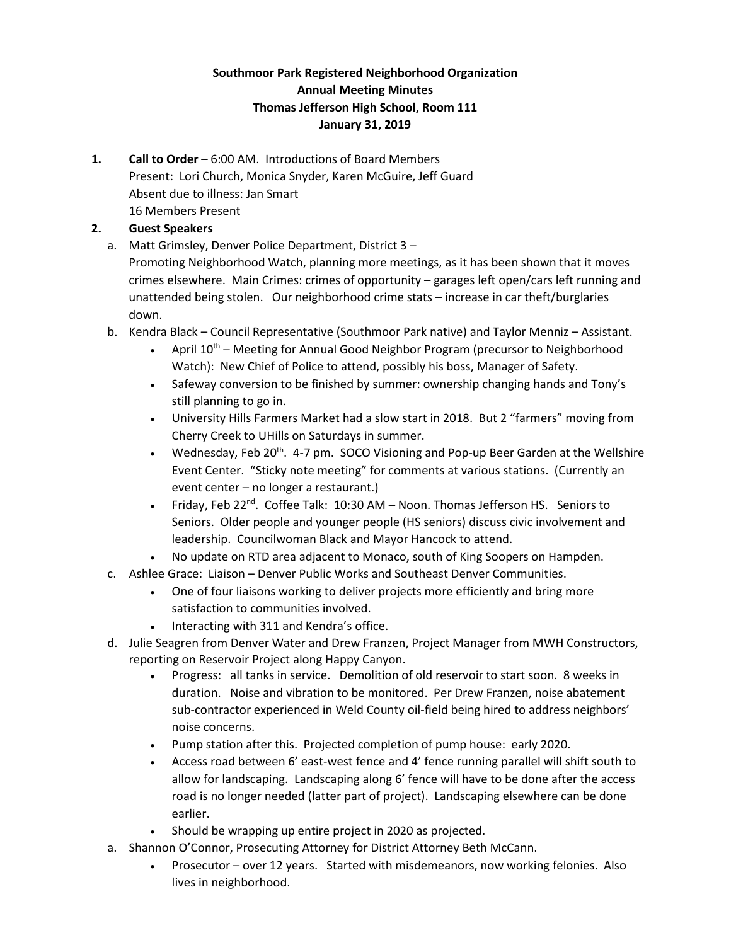# **Southmoor Park Registered Neighborhood Organization Annual Meeting Minutes Thomas Jefferson High School, Room 111 January 31, 2019**

**1. Call to Order** – 6:00 AM. Introductions of Board Members Present: Lori Church, Monica Snyder, Karen McGuire, Jeff Guard Absent due to illness: Jan Smart 16 Members Present

## **2. Guest Speakers**

a. Matt Grimsley, Denver Police Department, District 3 – Promoting Neighborhood Watch, planning more meetings, as it has been shown that it moves crimes elsewhere. Main Crimes: crimes of opportunity – garages left open/cars left running and unattended being stolen. Our neighborhood crime stats – increase in car theft/burglaries down.

- b. Kendra Black Council Representative (Southmoor Park native) and Taylor Menniz Assistant.
	- April  $10^{th}$  Meeting for Annual Good Neighbor Program (precursor to Neighborhood Watch): New Chief of Police to attend, possibly his boss, Manager of Safety.
	- Safeway conversion to be finished by summer: ownership changing hands and Tony's still planning to go in.
	- University Hills Farmers Market had a slow start in 2018. But 2 "farmers" moving from Cherry Creek to UHills on Saturdays in summer.
	- Wednesday, Feb 20<sup>th</sup>. 4-7 pm. SOCO Visioning and Pop-up Beer Garden at the Wellshire Event Center. "Sticky note meeting" for comments at various stations. (Currently an event center – no longer a restaurant.)
	- Friday, Feb 22<sup>nd</sup>. Coffee Talk: 10:30 AM Noon. Thomas Jefferson HS. Seniors to Seniors. Older people and younger people (HS seniors) discuss civic involvement and leadership. Councilwoman Black and Mayor Hancock to attend.
	- No update on RTD area adjacent to Monaco, south of King Soopers on Hampden.
- c. Ashlee Grace: Liaison Denver Public Works and Southeast Denver Communities.
	- One of four liaisons working to deliver projects more efficiently and bring more satisfaction to communities involved.
	- Interacting with 311 and Kendra's office.
- d. Julie Seagren from Denver Water and Drew Franzen, Project Manager from MWH Constructors, reporting on Reservoir Project along Happy Canyon.
	- Progress: all tanks in service. Demolition of old reservoir to start soon. 8 weeks in duration. Noise and vibration to be monitored. Per Drew Franzen, noise abatement sub-contractor experienced in Weld County oil-field being hired to address neighbors' noise concerns.
	- Pump station after this. Projected completion of pump house: early 2020.
	- Access road between 6' east-west fence and 4' fence running parallel will shift south to allow for landscaping. Landscaping along 6' fence will have to be done after the access road is no longer needed (latter part of project). Landscaping elsewhere can be done earlier.
	- Should be wrapping up entire project in 2020 as projected.
- a. Shannon O'Connor, Prosecuting Attorney for District Attorney Beth McCann.
	- Prosecutor over 12 years. Started with misdemeanors, now working felonies. Also lives in neighborhood.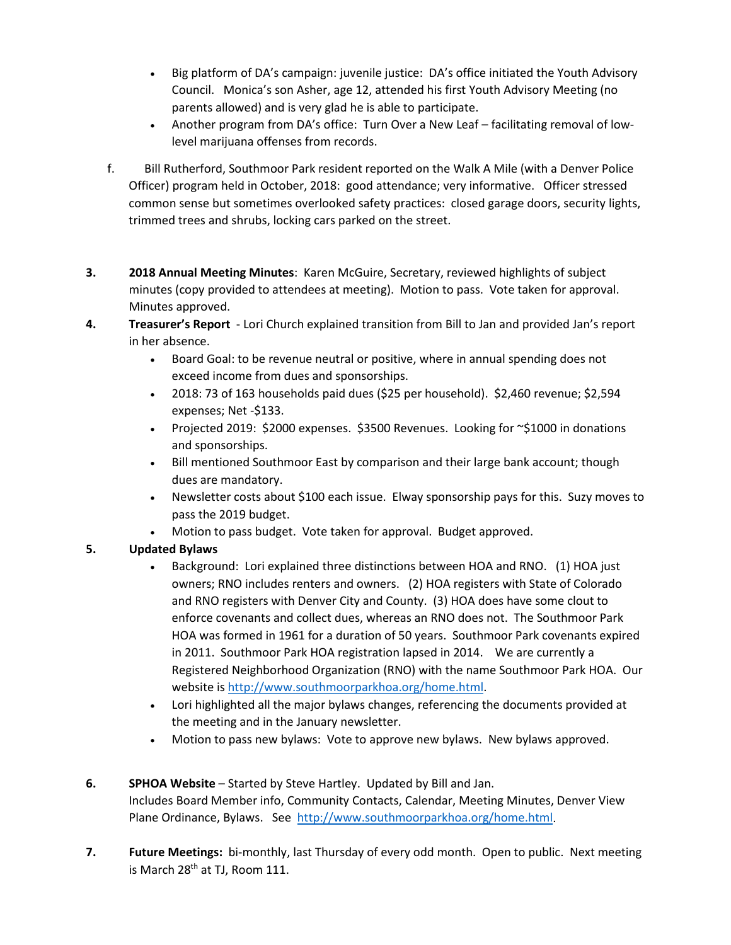- Big platform of DA's campaign: juvenile justice: DA's office initiated the Youth Advisory Council. Monica's son Asher, age 12, attended his first Youth Advisory Meeting (no parents allowed) and is very glad he is able to participate.
- Another program from DA's office: Turn Over a New Leaf facilitating removal of lowlevel marijuana offenses from records.
- f. Bill Rutherford, Southmoor Park resident reported on the Walk A Mile (with a Denver Police Officer) program held in October, 2018: good attendance; very informative. Officer stressed common sense but sometimes overlooked safety practices: closed garage doors, security lights, trimmed trees and shrubs, locking cars parked on the street.
- **3. 2018 Annual Meeting Minutes**: Karen McGuire, Secretary, reviewed highlights of subject minutes (copy provided to attendees at meeting). Motion to pass. Vote taken for approval. Minutes approved.
- **4. Treasurer's Report** Lori Church explained transition from Bill to Jan and provided Jan's report in her absence.
	- Board Goal: to be revenue neutral or positive, where in annual spending does not exceed income from dues and sponsorships.
	- 2018: 73 of 163 households paid dues (\$25 per household). \$2,460 revenue; \$2,594 expenses; Net -\$133.
	- Projected 2019: \$2000 expenses. \$3500 Revenues. Looking for ~\$1000 in donations and sponsorships.
	- Bill mentioned Southmoor East by comparison and their large bank account; though dues are mandatory.
	- Newsletter costs about \$100 each issue. Elway sponsorship pays for this. Suzy moves to pass the 2019 budget.
	- Motion to pass budget. Vote taken for approval. Budget approved.

## **5. Updated Bylaws**

- Background: Lori explained three distinctions between HOA and RNO. (1) HOA just owners; RNO includes renters and owners. (2) HOA registers with State of Colorado and RNO registers with Denver City and County. (3) HOA does have some clout to enforce covenants and collect dues, whereas an RNO does not. The Southmoor Park HOA was formed in 1961 for a duration of 50 years. Southmoor Park covenants expired in 2011. Southmoor Park HOA registration lapsed in 2014. We are currently a Registered Neighborhood Organization (RNO) with the name Southmoor Park HOA. Our website is [http://www.southmoorparkhoa.org/home.html.](http://www.southmoorparkhoa.org/home.html)
- Lori highlighted all the major bylaws changes, referencing the documents provided at the meeting and in the January newsletter.
- Motion to pass new bylaws: Vote to approve new bylaws. New bylaws approved.
- **6. SPHOA Website** Started by Steve Hartley. Updated by Bill and Jan. Includes Board Member info, Community Contacts, Calendar, Meeting Minutes, Denver View Plane Ordinance, Bylaws. See [http://www.southmoorparkhoa.org/home.html.](http://www.southmoorparkhoa.org/home.html)
- **7. Future Meetings:** bi-monthly, last Thursday of every odd month. Open to public. Next meeting is March 28<sup>th</sup> at TJ, Room 111.